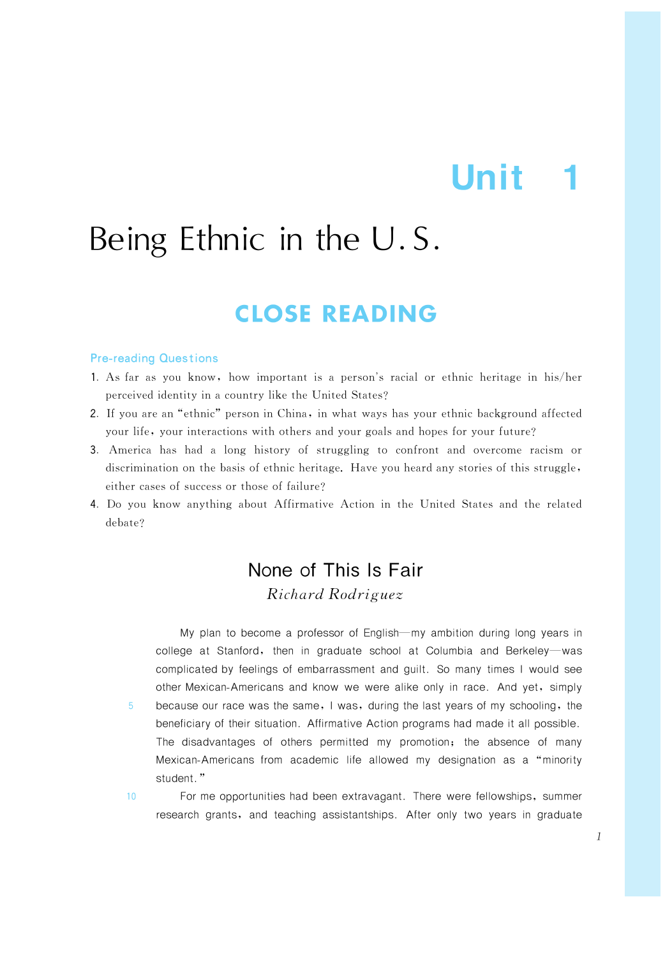# Unit

# Being Ethnic in the  $U.S.$

# **CLOSE READING**

### **Pre-reading Questions**

- 1. As far as you know, how important is a person's racial or ethnic heritage in his/her perceived identity in a country like the United States?
- 2. If you are an "ethnic" person in China, in what ways has your ethnic background affected your life, your interactions with others and your goals and hopes for your future?
- 3. America has had a long history of struggling to confront and overcome racism or discrimination on the basis of ethnic heritage. Have you heard any stories of this struggle, either cases of success or those of failure?
- 4. Do you know anything about Affirmative Action in the United States and the related debate?

# None of This Is Fair Richard Rodriguez

My plan to become a professor of English-my ambition during long years in college at Stanford, then in graduate school at Columbia and Berkeley-was complicated by feelings of embarrassment and guilt. So many times I would see other Mexican-Americans and know we were alike only in race. And yet, simply because our race was the same, I was, during the last years of my schooling, the  $\overline{5}$ beneficiary of their situation. Affirmative Action programs had made it all possible. The disadvantages of others permitted my promotion, the absence of many Mexican-Americans from academic life allowed my designation as a "minority student."

For me opportunities had been extravagant. There were fellowships, summer 10 research grants, and teaching assistantships. After only two years in graduate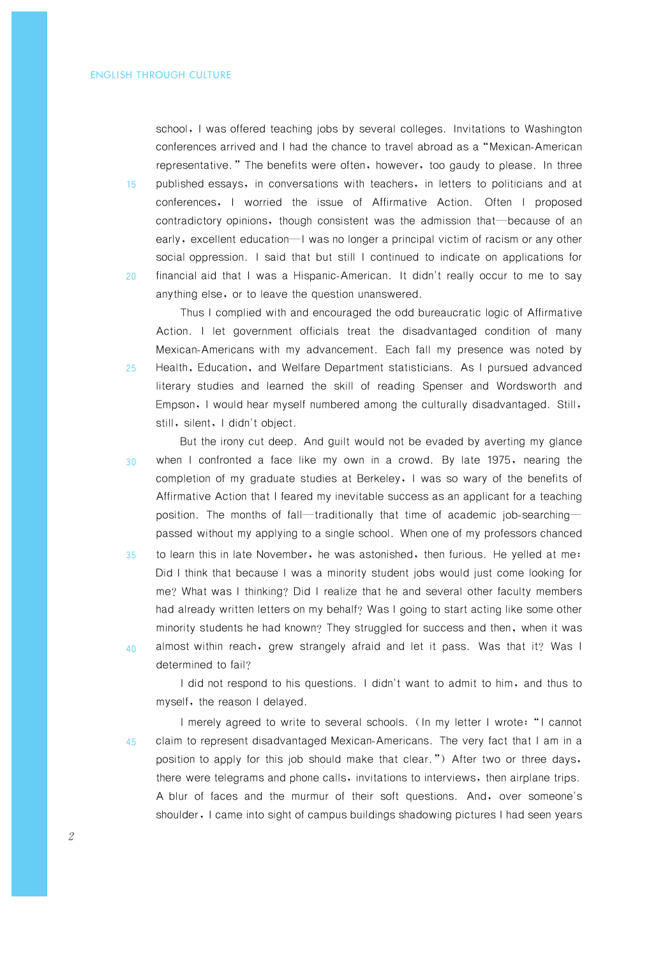school, I was offered teaching jobs by several colleges. Invitations to Washington conferences arrived and I had the chance to travel abroad as a "Mexican-American representative." The benefits were often, however, too gaudy to please. In three

published essays, in conversations with teachers, in letters to politicians and at 15 conferences, I worried the issue of Affirmative Action. Often I proposed contradictory opinions, though consistent was the admission that-because of an early, excellent education—I was no longer a principal victim of racism or any other social oppression. I said that but still I continued to indicate on applications for financial aid that I was a Hispanic-American. It didn't really occur to me to say  $20<sup>°</sup>$ 

anything else, or to leave the question unanswered.

Thus I complied with and encouraged the odd bureaucratic logic of Affirmative Action. I let government officials treat the disadvantaged condition of many Mexican-Americans with my advancement. Each fall my presence was noted by 25 Health, Education, and Welfare Department statisticians. As I pursued advanced literary studies and learned the skill of reading Spenser and Wordsworth and Empson, I would hear myself numbered among the culturally disadvantaged. Still, still, silent, I didn't object.

But the irony cut deep. And guilt would not be evaded by averting my glance when I confronted a face like my own in a crowd. By late 1975, nearing the 30 completion of my graduate studies at Berkeley, I was so wary of the benefits of Affirmative Action that I feared my inevitable success as an applicant for a teaching position. The months of fall—traditionally that time of academic job-searching passed without my applying to a single school. When one of my professors chanced

- 35 to learn this in late November, he was astonished, then furious. He yelled at me: Did I think that because I was a minority student jobs would just come looking for me? What was I thinking? Did I realize that he and several other faculty members had already written letters on my behalf? Was I going to start acting like some other minority students he had known? They struggled for success and then, when it was almost within reach, grew strangely afraid and let it pass. Was that it? Was I 40
- 

determined to fail?

I did not respond to his questions. I didn't want to admit to him, and thus to myself, the reason I delayed.

I merely agreed to write to several schools. (In my letter I wrote: "I cannot claim to represent disadvantaged Mexican-Americans. The very fact that I am in a 45 position to apply for this job should make that clear.") After two or three days, there were telegrams and phone calls, invitations to interviews, then airplane trips. A blur of faces and the murmur of their soft questions. And, over someone's shoulder, I came into sight of campus buildings shadowing pictures I had seen years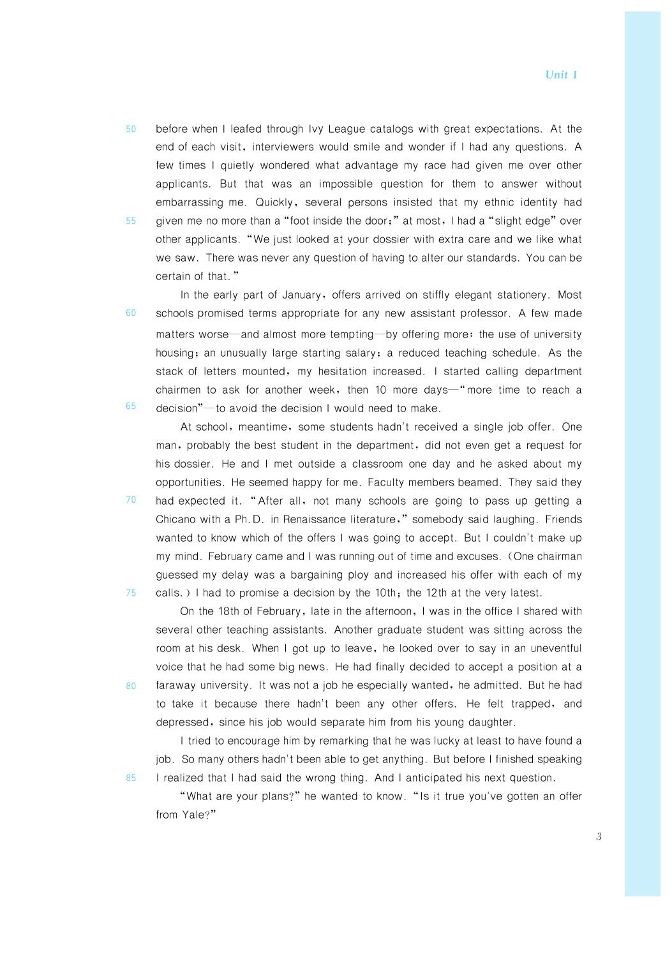before when I leafed through Ivy League catalogs with great expectations. At the  $50$ end of each visit, interviewers would smile and wonder if I had any questions. A few times I quietly wondered what advantage my race had given me over other applicants. But that was an impossible question for them to answer without embarrassing me. Quickly, several persons insisted that my ethnic identity had 55 given me no more than a "foot inside the door;" at most, I had a "slight edge" over other applicants. "We just looked at your dossier with extra care and we like what we saw. There was never any question of having to alter our standards. You can be certain of that."

In the early part of January, offers arrived on stiffly elegant stationery. Most 60 schools promised terms appropriate for any new assistant professor. A few made matters worse—and almost more tempting—by offering more: the use of university housing; an unusually large starting salary; a reduced teaching schedule. As the stack of letters mounted, my hesitation increased. I started calling department chairmen to ask for another week, then 10 more days—"more time to reach a 65 decision"—to avoid the decision I would need to make.

At school, meantime, some students hadn't received a single job offer. One man, probably the best student in the department, did not even get a request for his dossier. He and I met outside a classroom one day and he asked about my opportunities. He seemed happy for me. Faculty members beamed. They said they 70 had expected it. "After all, not many schools are going to pass up getting a Chicano with a Ph.D. in Renaissance literature," somebody said laughing. Friends wanted to know which of the offers I was going to accept. But I couldn't make up my mind. February came and I was running out of time and excuses. (One chairman guessed my delay was a bargaining ploy and increased his offer with each of my 75 calls.) I had to promise a decision by the 10th; the 12th at the very latest.

On the 18th of February, late in the afternoon, I was in the office I shared with several other teaching assistants. Another graduate student was sitting across the room at his desk. When I got up to leave, he looked over to say in an uneventful voice that he had some big news. He had finally decided to accept a position at a faraway university. It was not a job he especially wanted, he admitted. But he had to take it because there hadn't been any other offers. He felt trapped, and depressed, since his job would separate him from his young daughter.

 $80<sub>1</sub>$ 

85

I tried to encourage him by remarking that he was lucky at least to have found a job. So many others hadn't been able to get anything. But before I finished speaking I realized that I had said the wrong thing. And I anticipated his next question.

"What are your plans?" he wanted to know. "Is it true you've gotten an offer from Yale?"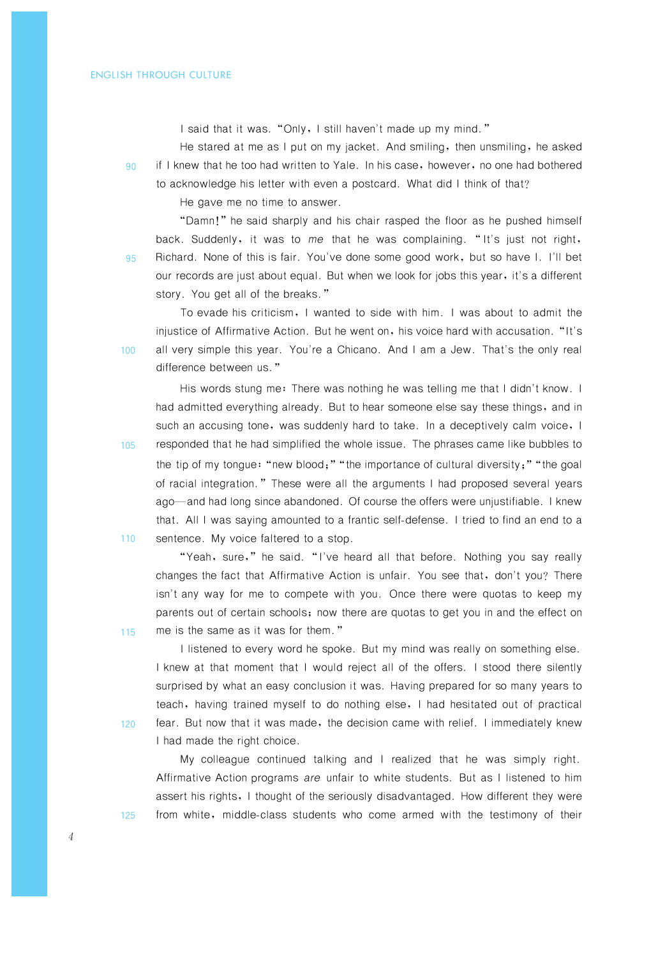I said that it was. "Only, I still haven't made up my mind."

He stared at me as I put on my jacket. And smiling, then unsmiling, he asked if I knew that he too had written to Yale. In his case, however, no one had bothered 90 to acknowledge his letter with even a postcard. What did I think of that?

He gave me no time to answer.

"Damn!" he said sharply and his chair rasped the floor as he pushed himself back. Suddenly, it was to me that he was complaining. "It's just not right, Richard. None of this is fair. You've done some good work, but so have I. I'll bet our records are just about equal. But when we look for jobs this year, it's a different story. You get all of the breaks."

To evade his criticism, I wanted to side with him. I was about to admit the injustice of Affirmative Action. But he went on, his voice hard with accusation. "It's all very simple this year. You're a Chicano. And I am a Jew. That's the only real difference between us."

His words stung me: There was nothing he was telling me that I didn't know. I had admitted everything already. But to hear someone else say these things, and in such an accusing tone, was suddenly hard to take. In a deceptively calm voice, I responded that he had simplified the whole issue. The phrases came like bubbles to the tip of my tongue: "new blood;" "the importance of cultural diversity;" "the goal

of racial integration." These were all the arguments I had proposed several years ago—and had long since abandoned. Of course the offers were unjustifiable. I knew that. All I was saying amounted to a frantic self-defense. I tried to find an end to a sentence. My voice faltered to a stop.

"Yeah, sure," he said. "I've heard all that before. Nothing you say really changes the fact that Affirmative Action is unfair. You see that, don't you? There isn't any way for me to compete with you. Once there were quotas to keep my parents out of certain schools; now there are quotas to get you in and the effect on me is the same as it was for them."

I listened to every word he spoke. But my mind was really on something else. I knew at that moment that I would reject all of the offers. I stood there silently surprised by what an easy conclusion it was. Having prepared for so many years to teach, having trained myself to do nothing else, I had hesitated out of practical fear. But now that it was made, the decision came with relief. I immediately knew I had made the right choice.

My colleague continued talking and I realized that he was simply right. Affirmative Action programs are unfair to white students. But as I listened to him assert his rights, I thought of the seriously disadvantaged. How different they were from white, middle-class students who come armed with the testimony of their

100

105

95

110

115

120

125

 $\overline{4}$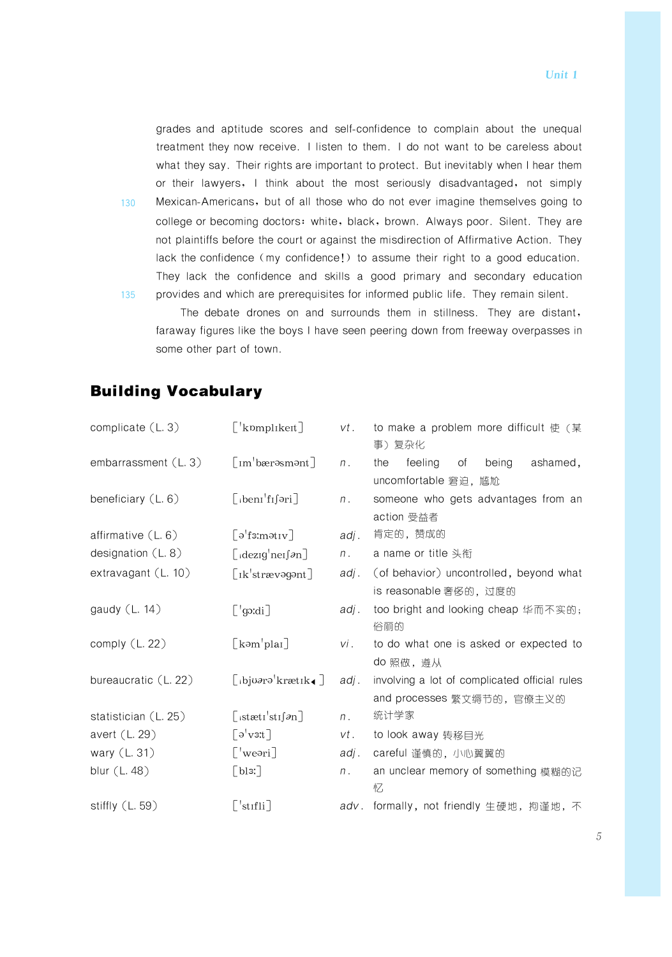grades and aptitude scores and self-confidence to complain about the unequal treatment they now receive. I listen to them. I do not want to be careless about what they say. Their rights are important to protect. But inevitably when I hear them or their lawyers, I think about the most seriously disadvantaged, not simply Mexican-Americans, but of all those who do not ever imagine themselves going to college or becoming doctors: white, black, brown. Always poor. Silent. They are not plaintiffs before the court or against the misdirection of Affirmative Action. They lack the confidence (my confidence!) to assume their right to a good education. They lack the confidence and skills a good primary and secondary education provides and which are prerequisites for informed public life. They remain silent.

135

130

The debate drones on and surrounds them in stillness. They are distant, faraway figures like the boys I have seen peering down from freeway overpasses in some other part of town.

# **Building Vocabulary**

| complicate $(L.3)$   | $\left[$ 'k $p$ mplikeit]                      | vt.         | to make a problem more difficult 使 (某<br>事)复杂化                              |  |  |
|----------------------|------------------------------------------------|-------------|-----------------------------------------------------------------------------|--|--|
| embarrassment (L.3)  | $\lceil$ im bærəsmənt $\rceil$                 | $n$ .       | feeling<br>being<br>ashamed,<br>the<br>of<br>uncomfortable 窘迫, 尴尬           |  |  |
| beneficiary (L. 6)   | $[\phi_{\text{1}}]$ ibeni <sup>t</sup>         | $n$ .       | someone who gets advantages from an<br>action 受益者                           |  |  |
| affirmative $(L, 6)$ | $\lceil$ əˈfɜːmətɪv $\rceil$                   | adj.        | 肯定的, 赞成的                                                                    |  |  |
| designation $(L. 8)$ | $[$ dezig'neisn]                               | $n$ .       | a name or title 头衔                                                          |  |  |
| extravagant (L. 10)  | $\left[$ <sub>Ik</sub> 'strævəgənt $\right]$   | adi.        | (of behavior) uncontrolled, beyond what                                     |  |  |
|                      |                                                |             | is reasonable 奢侈的, 过度的                                                      |  |  |
| gaudy (L. 14)        | $[\n]$ go:di]                                  | adj.        | too bright and looking cheap 华而不实的;<br>俗丽的                                  |  |  |
| comply $(L. 22)$     | $[$ kəm $'$ plaı $]$                           | Vİ.         | to do what one is asked or expected to<br>do 照做, 遵从                         |  |  |
| bureaucratic (L. 22) | $[\,\cdot\,$ bjuarə $'\,$ krætık $\bullet\,$ ] | adj.        | involving a lot of complicated official rules<br>and processes 繁文缛节的, 官僚主义的 |  |  |
| statistician (L. 25) | $\left[\right]$ istæti'sti $\left[\right]$     | $n_{\cdot}$ | 统计学家                                                                        |  |  |
| avert (L. 29)        | $\lceil e^{\dagger}v$ 3:t $\rceil$             | vt.         | to look away 转移目光                                                           |  |  |
| wary (L. 31)         | $[\cdot]$ weəri]                               | adi.        | careful 谨慎的, 小心翼翼的                                                          |  |  |
| blur (L. 48)         | $[b]$ 3:                                       | $n$ .       | an unclear memory of something 模糊的记<br>忆                                    |  |  |
| stiffly (L. 59)      | $[\cdot]$ stifli                               |             | adv. formally, not friendly 生硬地, 拘谨地, 不                                     |  |  |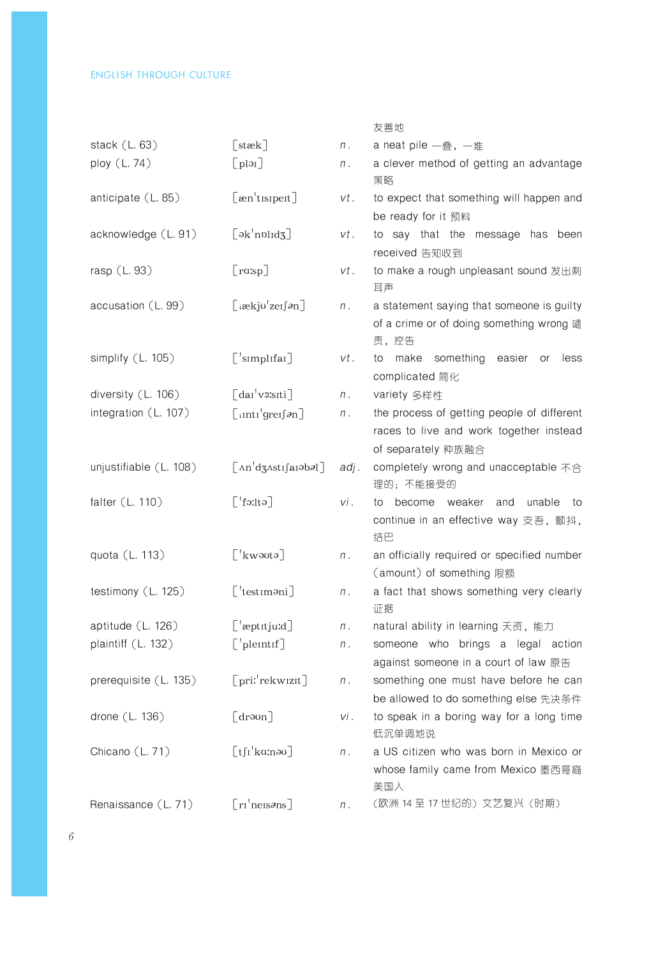# ENGLISH THROUGH CULTURE

|                        |                                                          |              | 友善地                                                                                                         |
|------------------------|----------------------------------------------------------|--------------|-------------------------------------------------------------------------------------------------------------|
| stack $(L. 63)$        | $[$ stæk $]$                                             | $n$ .        | a neat pile 一叠, 一堆                                                                                          |
| ploy (L. 74)           | [pləl]                                                   | η.           | a clever method of getting an advantage<br>策略                                                               |
| anticipate (L. 85)     | $[$ æn'tisipeit]                                         | $V\!t$ .     | to expect that something will happen and<br>be ready for it 预料                                              |
| acknowledge (L. 91)    | [ək'nvltd3]                                              | vt.          | to say that the message has been<br>received 告知收到                                                           |
| rasp (L. 93)           | $[\text{r}$ a:sp]                                        | vt.          | to make a rough unpleasant sound 发出刺<br>耳声                                                                  |
| accusation (L. 99)     | $[\Box \text{æk}j\sigma\prime\text{zen}\text{J}a\sigma]$ | η.           | a statement saying that someone is guilty<br>of a crime or of doing something wrong 谴<br>责,控告               |
| simplify (L. 105)      | $[$ 'simplifai]                                          | $Vt$ .       | make something<br>easier<br>less<br>to<br>or<br>complicated 简化                                              |
| diversity (L. 106)     | $\lceil \text{dai} \, \text{vs:} \, \text{sti} \rceil$   | η.           | variety 多样性                                                                                                 |
| integration (L. 107)   | $[$ inti'greisn]                                         | п.           | the process of getting people of different<br>races to live and work together instead<br>of separately 种族融合 |
| unjustifiable (L. 108) | $[An'dzAstifa$ ialahal]                                  | adj.         | completely wrong and unacceptable 不合<br>理的;不能接受的                                                            |
| falter (L. 110)        |                                                          | $Vi$ .       | become<br>weaker<br>and<br>unable<br>to<br>to<br>continue in an effective way 支吾, 颤抖,<br>结巴                 |
| quota (L. 113)         | $\left[$ 'kwə $\sigma$ tə $\right]$                      | $n$ .        | an officially required or specified number<br>(amount) of something 限额                                      |
| testimony (L. 125)     | $[$ 'testimani]                                          | $n$ .        | a fact that shows something very clearly<br>证据                                                              |
| aptitude (L. 126)      | $[$ 'æptɪtjuːd]                                          | п.           | natural ability in learning 天资, 能力                                                                          |
| plaintiff (L. 132)     | $[\ ]$ pleintif]                                         | п.           | someone who brings a legal<br>action<br>against someone in a court of law 原告                                |
| prerequisite (L. 135)  | $[pri']$ rekwizit]                                       | п.           | something one must have before he can<br>be allowed to do something else 先决条件                               |
| drone (L. 136)         | [drəon]                                                  | $V\dot{I}$ . | to speak in a boring way for a long time<br>低沉单调地说                                                          |
| Chicano (L. 71)        | $[$ tfr'ka:nəv]                                          | п.           | a US citizen who was born in Mexico or<br>whose family came from Mexico 墨西哥裔<br>美国人                         |
| Renaissance (L. 71)    | $\lceil r \rceil$ neis $\partial$ ns]                    | п.           | (欧洲 14至17世纪的)文艺复兴(时期)                                                                                       |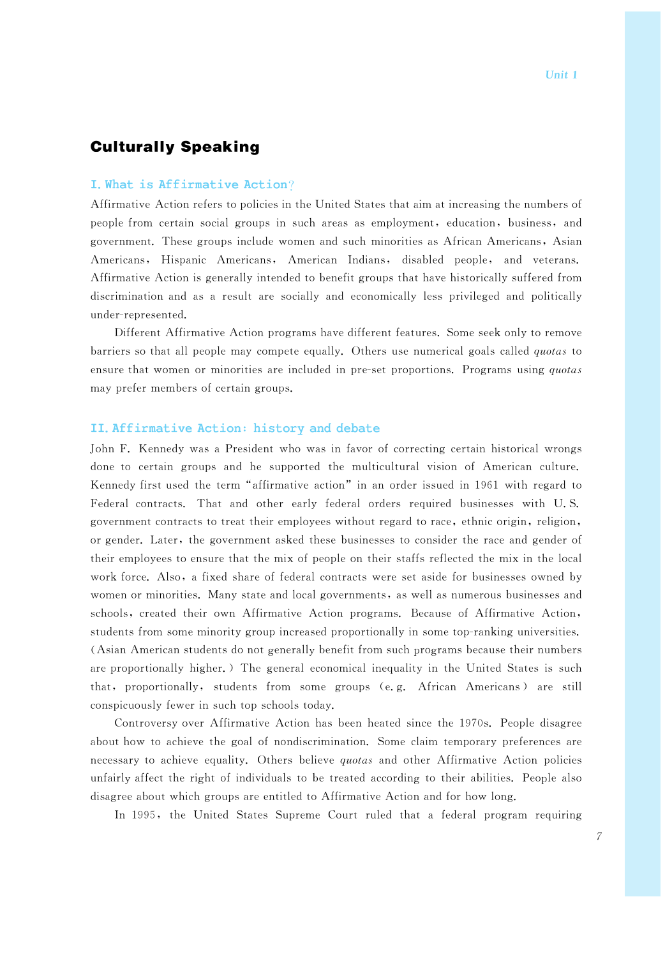# **Culturally Speaking**

### I. What is Affirmative Action?

Affirmative Action refers to policies in the United States that aim at increasing the numbers of people from certain social groups in such areas as employment, education, business, and government. These groups include women and such minorities as African Americans, Asian Americans, Hispanic Americans, American Indians, disabled people, and veterans. Affirmative Action is generally intended to benefit groups that have historically suffered from discrimination and as a result are socially and economically less privileged and politically under-represented.

Different Affirmative Action programs have different features. Some seek only to remove barriers so that all people may compete equally. Others use numerical goals called *quotas* to ensure that women or minorities are included in pre-set proportions. Programs using quotas may prefer members of certain groups.

### II. Affirmative Action: history and debate

John F. Kennedy was a President who was in favor of correcting certain historical wrongs done to certain groups and he supported the multicultural vision of American culture. Kennedy first used the term "affirmative action" in an order issued in 1961 with regard to Federal contracts. That and other early federal orders required businesses with U.S. government contracts to treat their employees without regard to race, ethnic origin, religion, or gender. Later, the government asked these businesses to consider the race and gender of their employees to ensure that the mix of people on their staffs reflected the mix in the local work force. Also, a fixed share of federal contracts were set aside for businesses owned by women or minorities. Many state and local governments, as well as numerous businesses and schools, created their own Affirmative Action programs. Because of Affirmative Action, students from some minority group increased proportionally in some top-ranking universities. (Asian American students do not generally benefit from such programs because their numbers are proportionally higher.) The general economical inequality in the United States is such that, proportionally, students from some groups (e.g. African Americans) are still conspicuously fewer in such top schools today.

Controversy over Affirmative Action has been heated since the 1970s. People disagree about how to achieve the goal of nondiscrimination. Some claim temporary preferences are necessary to achieve equality. Others believe quotas and other Affirmative Action policies unfairly affect the right of individuals to be treated according to their abilities. People also disagree about which groups are entitled to Affirmative Action and for how long.

In 1995, the United States Supreme Court ruled that a federal program requiring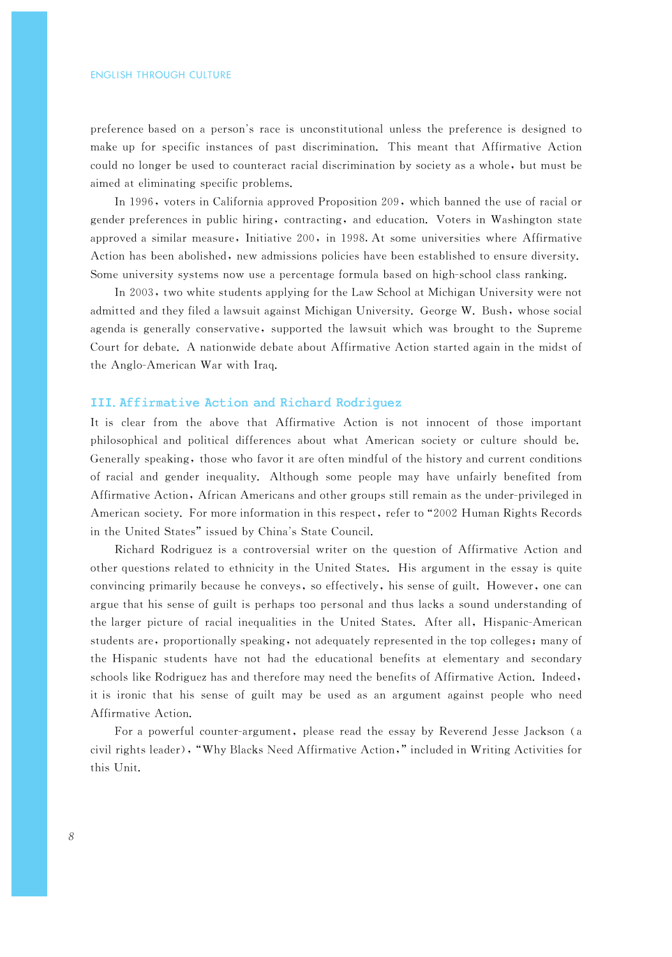#### ENGLISH THROUGH CULTURE

preference based on a person's race is unconstitutional unless the preference is designed to make up for specific instances of past discrimination. This meant that Affirmative Action could no longer be used to counteract racial discrimination by society as a whole, but must be aimed at eliminating specific problems.

In 1996, voters in California approved Proposition 209, which banned the use of racial or gender preferences in public hiring, contracting, and education. Voters in Washington state approved a similar measure, Initiative 200, in 1998. At some universities where Affirmative Action has been abolished, new admissions policies have been established to ensure diversity. Some university systems now use a percentage formula based on high-school class ranking.

In 2003, two white students applying for the Law School at Michigan University were not admitted and they filed a lawsuit against Michigan University. George W. Bush, whose social agenda is generally conservative, supported the lawsuit which was brought to the Supreme Court for debate. A nationwide debate about Affirmative Action started again in the midst of the Anglo-American War with Iraq.

#### III. Affirmative Action and Richard Rodriguez

It is clear from the above that Affirmative Action is not innocent of those important philosophical and political differences about what American society or culture should be. Generally speaking, those who favor it are often mindful of the history and current conditions of racial and gender inequality. Although some people may have unfairly benefited from Affirmative Action, African Americans and other groups still remain as the under-privileged in American society. For more information in this respect, refer to "2002 Human Rights Records in the United States" issued by China's State Council.

Richard Rodriguez is a controversial writer on the question of Affirmative Action and other questions related to ethnicity in the United States. His argument in the essay is quite convincing primarily because he conveys, so effectively, his sense of guilt. However, one can argue that his sense of guilt is perhaps too personal and thus lacks a sound understanding of the larger picture of racial inequalities in the United States. After all, Hispanic-American students are, proportionally speaking, not adequately represented in the top colleges; many of the Hispanic students have not had the educational benefits at elementary and secondary schools like Rodriguez has and therefore may need the benefits of Affirmative Action. Indeed, it is ironic that his sense of guilt may be used as an argument against people who need Affirmative Action.

For a powerful counter-argument, please read the essay by Reverend Jesse Jackson (a civil rights leader), "Why Blacks Need Affirmative Action," included in Writing Activities for this Unit.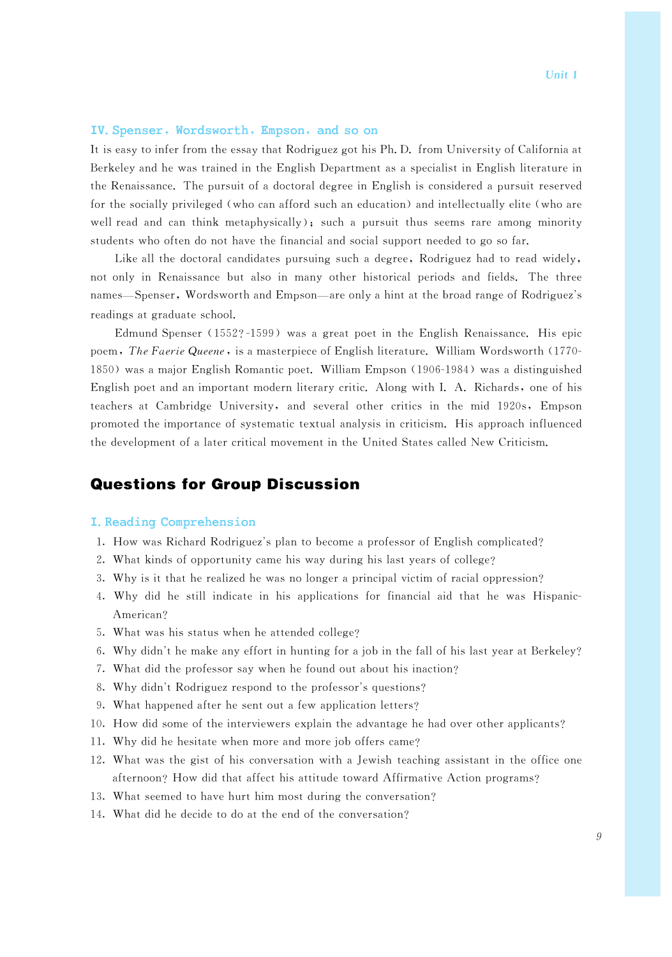#### IV. Spenser, Wordsworth, Empson, and so on

It is easy to infer from the essay that Rodriguez got his Ph. D. from University of California at Berkeley and he was trained in the English Department as a specialist in English literature in the Renaissance. The pursuit of a doctoral degree in English is considered a pursuit reserved for the socially privileged (who can afford such an education) and intellectually elite (who are well read and can think metaphysically); such a pursuit thus seems rare among minority students who often do not have the financial and social support needed to go so far.

Like all the doctoral candidates pursuing such a degree, Rodriguez had to read widely, not only in Renaissance but also in many other historical periods and fields. The three names—Spenser, Wordsworth and Empson—are only a hint at the broad range of Rodriguez's readings at graduate school.

Edmund Spenser (1552?-1599) was a great poet in the English Renaissance. His epic poem, The Faerie Queene, is a masterpiece of English literature. William Wordsworth (1770-1850) was a major English Romantic poet. William Empson (1906-1984) was a distinguished English poet and an important modern literary critic. Along with I. A. Richards, one of his teachers at Cambridge University, and several other critics in the mid 1920s, Empson promoted the importance of systematic textual analysis in criticism. His approach influenced the development of a later critical movement in the United States called New Criticism.

# **Questions for Group Discussion**

#### I. Reading Comprehension

- 1. How was Richard Rodriguez's plan to become a professor of English complicated?
- 2. What kinds of opportunity came his way during his last years of college?
- 3. Why is it that he realized he was no longer a principal victim of racial oppression?
- 4. Why did he still indicate in his applications for financial aid that he was Hispanic-American?
- 5. What was his status when he attended college?
- 6. Why didn't he make any effort in hunting for a job in the fall of his last year at Berkeley?
- 7. What did the professor say when he found out about his inaction?
- 8. Why didn't Rodriguez respond to the professor's questions?
- 9. What happened after he sent out a few application letters?
- 10. How did some of the interviewers explain the advantage he had over other applicants?
- 11. Why did he hesitate when more and more job offers came?
- 12. What was the gist of his conversation with a Jewish teaching assistant in the office one afternoon? How did that affect his attitude toward Affirmative Action programs?
- 13. What seemed to have hurt him most during the conversation?
- 14. What did he decide to do at the end of the conversation?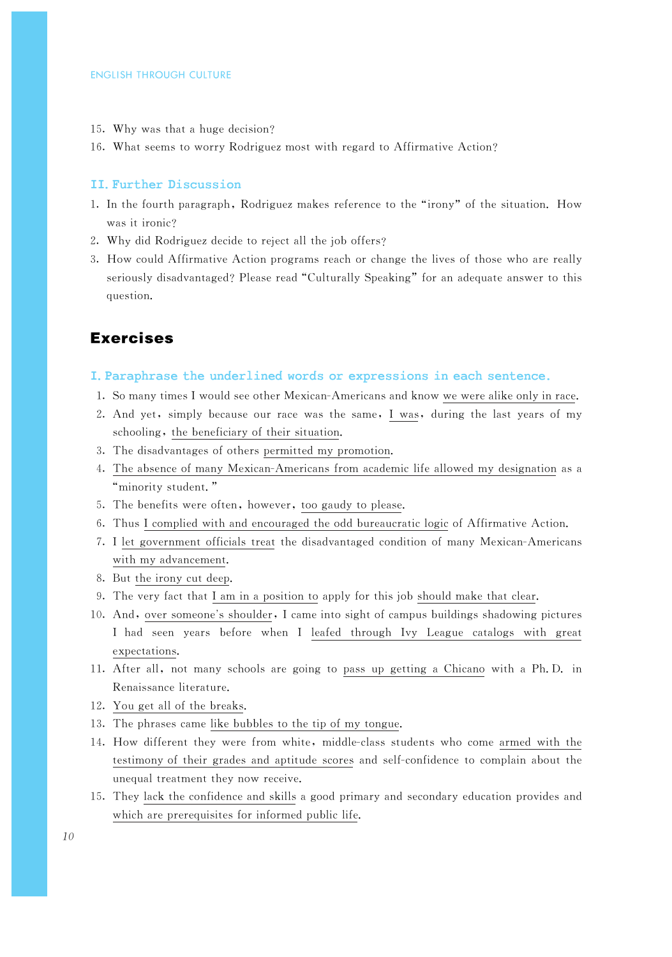- 15. Why was that a huge decision?
- 16. What seems to worry Rodriguez most with regard to Affirmative Action?

### II. Further Discussion

- 1. In the fourth paragraph, Rodriguez makes reference to the "irony" of the situation. How was it ironic?
- 2. Why did Rodriguez decide to reject all the job offers?
- 3. How could Affirmative Action programs reach or change the lives of those who are really seriously disadvantaged? Please read "Culturally Speaking" for an adequate answer to this question.

# Exercises

# I. Paraphrase the underlined words or expressions in each sentence.

- 1. So many times I would see other Mexican-Americans and know we were alike only in race.
- 2. And yet, simply because our race was the same, I was, during the last years of my schooling, the beneficiary of their situation.
- 3. The disadvantages of others permitted my promotion.
- 4. The absence of many Mexican-Americans from academic life allowed my designation as a "minority student."
- 5. The benefits were often, however, too gaudy to please.
- 6. Thus I complied with and encouraged the odd bureaucratic logic of Affirmative Action.
- 7. I let government officials treat the disadvantaged condition of many Mexican-Americans with my advancement.
- 8. But the irony cut deep.
- 9. The very fact that I am in a position to apply for this job should make that clear.
- 10. And, over someone's shoulder, I came into sight of campus buildings shadowing pictures Ihad seen years before when I leafed through Ivy League catalogs with great expectations.
- 11. After all, not many schools are going to pass up getting a Chicano with a Ph.D. in Renaissance literature.
- 12. You get all of the breaks.
- 13. The phrases came like bubbles to the tip of my tongue.
- 14. How different they were from white, middle-class students who come armed with the testimony of their grades and aptitude scores and self-confidence to complain about the unequal treatment they now receive.
- 15. They lack the confidence and skills a good primary and secondary education provides and which are prerequisites for informed public life.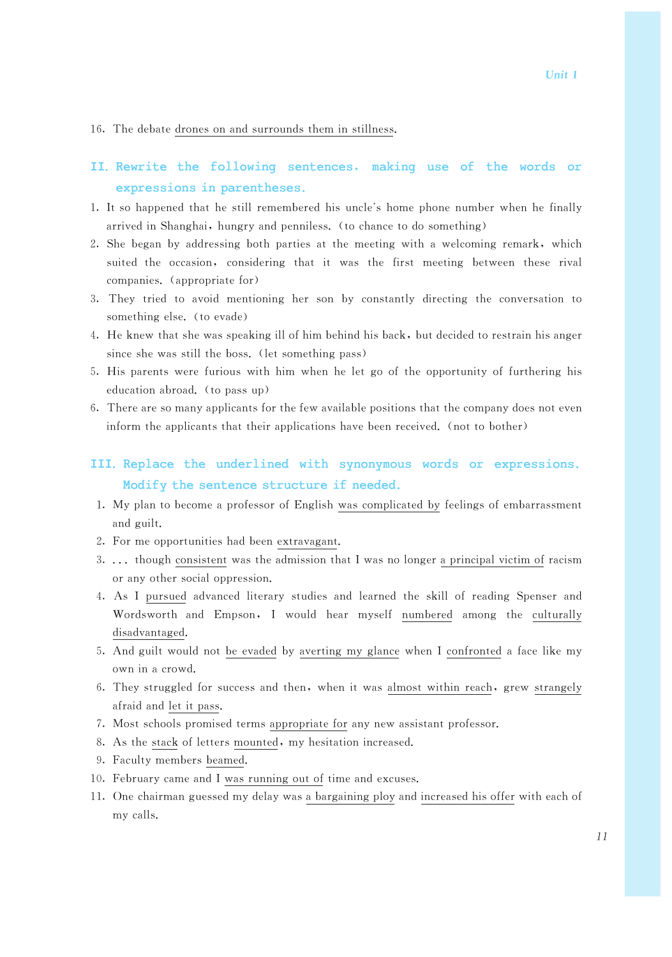#### 16. The debate drones on and surrounds them in stillness.

- II. Rewrite the following sentences, making use of the words or expressions in parentheses.
- 1. It so happened that he still remembered his uncle's home phone number when he finally arrived in Shanghai, hungry and penniless. (to chance to do something)
- 2. She began by addressing both parties at the meeting with a welcoming remark, which suited the occasion, considering that it was the first meeting between these rival companies. (appropriate for)
- 3. They tried to avoid mentioning her son by constantly directing the conversation to something else. (to evade)
- 4. He knew that she was speaking ill of him behind his back, but decided to restrain his anger since she was still the boss. (let something pass)
- 5. His parents were furious with him when he let go of the opportunity of furthering his education abroad. (to pass up)
- 6. There are so many applicants for the few available positions that the company does not even inform the applicants that their applications have been received. (not to bother)
- III.Replace the underlined with synonymous words or expressions. Modify the sentence structure if needed.
- 1. My plan to become a professor of English was complicated by feelings of embarrassment and guilt.
- 2. For me opportunities had been extravagant.
- 3. ... though consistent was the admission that I was no longer a principal victim of racism or any other social oppression.
- 4. As I pursued advanced literary studies and learned the skill of reading Spenser and Wordsworth and Empson,I would hear myself numbered among the culturally disadvantaged.
- 5. And guilt would not be evaded by averting my glance when I confronted a face like my own in a crowd.
- 6. They struggled for success and then, when it was almost within reach, grew strangely afraid and let it pass.
- 7. Most schools promised terms appropriate for any new assistant professor.
- 8. As the stack of letters mounted, my hesitation increased.
- 9. Faculty members beamed.
- 10. February came and I was running out of time and excuses.
- 11. One chairman guessed my delay was a bargaining ploy and increased his offer with each of mycalls.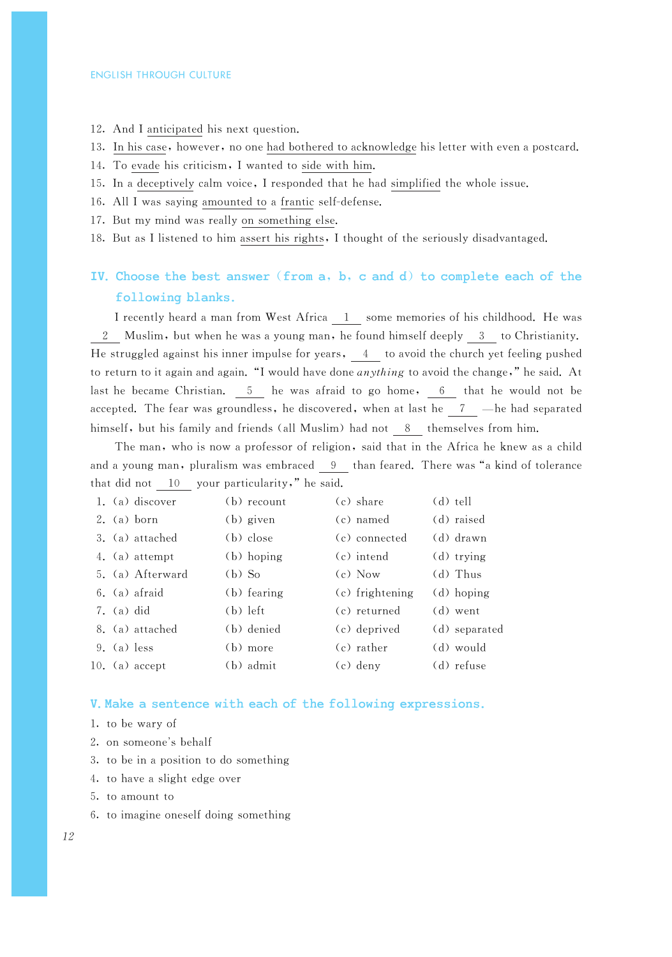12. And I anticipated his next question.

13. In his case, however, no one had bothered to acknowledge his letter with even a postcard.

14. To evade his criticism, I wanted to side with him.

15. In a deceptively calm voice, I responded that he had simplified the whole issue.

16. All I was saying amounted to a frantic self-defense.

17. But my mind was really on something else.

18. But as I listened to him assert his rights, I thought of the seriously disadvantaged.

# IV. Choose the best answer (from a, b, c and d) to complete each of the following blanks.

I recently heard a man from West Africa 1 some memories of his childhood. He was 2 Muslim, but when he was a young man, he found himself deeply 3 to Christianity. He struggled against his inner impulse for years, 4 to avoid the church yet feeling pushed to return to it again and again. "I would have done *anything* to avoid the change," he said. At last he became Christian. 5 he was afraid to go home, 6 that he would not be accepted. The fear was groundless, he discovered, when at last he  $\frac{7}{2}$  —he had separated himself, but his family and friends (all Muslim) had not 8 themselves from him.

The man, who is now a professor of religion, said that in the Africa he knew as a child and a young man, pluralism was embraced 9 than feared. There was "a kind of tolerance that did not  $10$  your particularity," he said.

| 1. $(a)$ discover | $(b)$ recount | $(c)$ share     | $(d)$ tell    |
|-------------------|---------------|-----------------|---------------|
| 2. (a) born       | (b) given     | $(c)$ named     | (d) raised    |
| 3. (a) attached   | (b) close     | (c) connected   | $(d)$ drawn   |
| 4. (a) attempt    | (b) hoping    | (c) intend      | (d) trying    |
| 5. (a) Afterward  | $(b)$ So      | $(c)$ Now       | $(d)$ Thus    |
| $6.$ (a) afraid   | (b) fearing   | (c) frightening | $(d)$ hoping  |
| 7. $(a)$ did      | $(b)$ left    | $(c)$ returned  | $(d)$ went    |
| 8. (a) attached   | (b) denied    | (c) deprived    | (d) separated |
| 9. $(a)$ less     | $(b)$ more    | $(c)$ rather    | $(d)$ would   |
| 10. (a) $accept$  | $(b)$ admit   | $(c)$ deny      | $(d)$ refuse  |
|                   |               |                 |               |

### V. Make a sentence with each of the following expressions.

- 1. to be wary of
- 2. on someone's behalf
- 3. to be in a position to do something
- 4. to have a slight edge over
- 5. to amount to
- 6. to imagine oneself doing something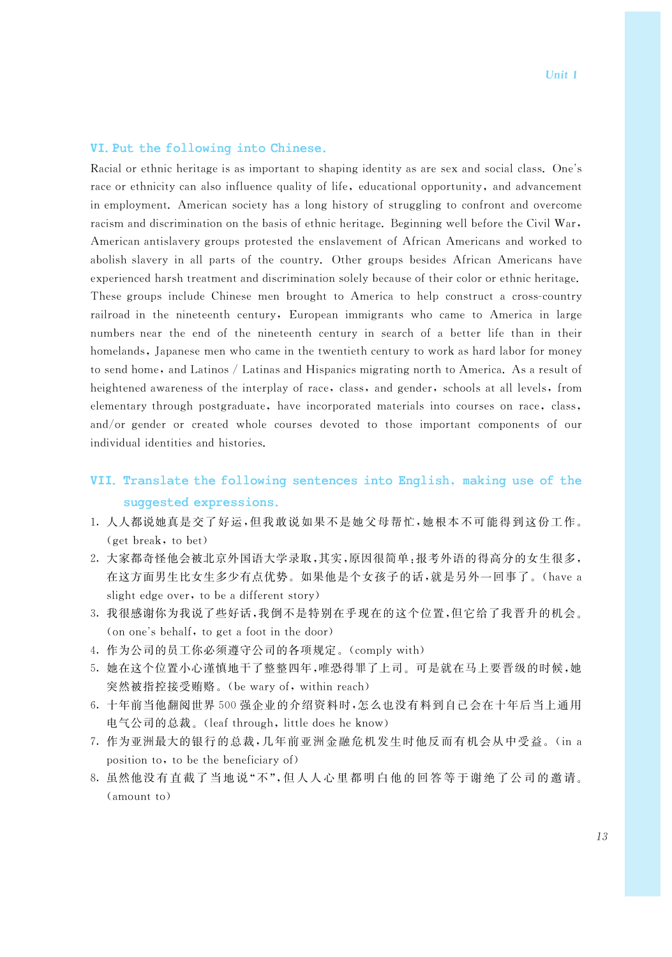# VI. Put the following into Chinese.

Racial or ethnic heritage is as important to shaping identity as are sex and social class. One's race or ethnicity can also influence quality of life, educational opportunity, and advancement in employment. American society has a long history of struggling to confront and overcome racism and discrimination on the basis of ethnic heritage. Beginning well before the Civil War, American antislavery groups protested the enslavement of African Americans and worked to abolish slavery in all parts of the country. Other groups besides African Americans have experienced harsh treatment and discrimination solely because of their color or ethnic heritage. These groups include Chinese men brought to America to help construct a cross-country railroad in the nineteenth century, European immigrants who came to America in large numbers near the end of the nineteenth century in search of a better life than in their homelands, Japanese men who came in the twentieth century to work as hard labor for money to send home, and Latinos  $/$  Latinas and Hispanics migrating north to America. As a result of heightened awareness of the interplay of race, class, and gender, schools at all levels, from elementary through postgraduate, have incorporated materials into courses on race, class, and/or gender or created whole courses devoted to those important components of our individual identities and histories.

# VII. Translate the following sentences into English, making use of the suggested expressions.

- 1. 人人都说她真是交了好运,但我敢说如果不是她父母帮忙,她根本不可能得到这份工作。 (get break, to bet)
- 2. 大家都奇怪他会被北京外国语大学录取,其实,原因很简单:报考外语的得高分的女生很多, 在这方面男生比女生多少有点优势。如果他是个女孩子的话,就是另外一回事了。(havea slight edge over, to be a different story)
- 3. 我很感谢你为我说了些好话,我倒不是特别在乎现在的这个位置,但它给了我晋升的机会。 (on one's behalf, to get a foot in the door)
- 4. 作为公司的员工你必须遵守公司的各项规定。(complywith)
- 5. 她在这个位置小心谨慎地干了整整四年,唯恐得罪了上司。可是就在马上要晋级的时候,她 突然被指控接受贿赂。(be wary of, within reach)
- 6. 十年前当他翻阅世界500强企业的介绍资料时,怎么也没有料到自己会在十年后当上通用 电气公司的总裁。(leaf through, little does he know)
- 7. 作为亚洲最大的银行的总裁,几年前亚洲金融危机发生时他反而有机会从中受益。(ina position to, to be the beneficiary of)
- 8. 虽然他没 有 直 截 了 当 地 说 "不",但 人 人 心 里 都 明 白 他 的 回 答 等 于 谢 绝 了 公 司 的 邀 请。  $(amount to)$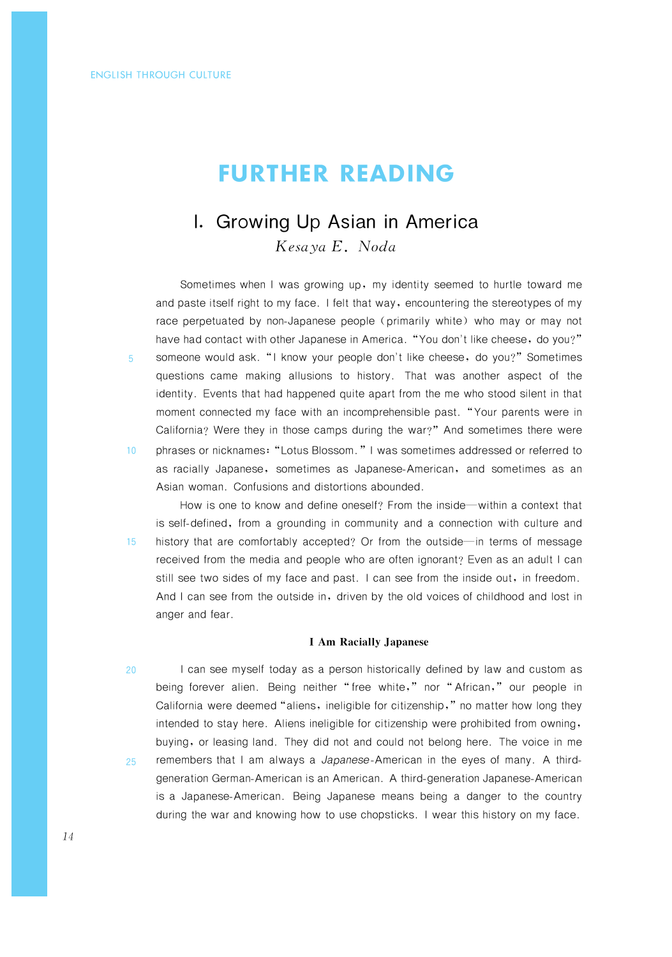$5\overline{5}$ 

10

# **FURTHER READING**

# I. Growing Up Asian in America Kesaya E. Noda

Sometimes when I was growing up, my identity seemed to hurtle toward me and paste itself right to my face. I felt that way, encountering the stereotypes of my race perpetuated by non-Japanese people (primarily white) who may or may not have had contact with other Japanese in America. "You don't like cheese, do you?" someone would ask. "I know your people don't like cheese, do you?" Sometimes questions came making allusions to history. That was another aspect of the identity. Events that had happened quite apart from the me who stood silent in that moment connected my face with an incomprehensible past. "Your parents were in California? Were they in those camps during the war?" And sometimes there were phrases or nicknames: "Lotus Blossom." I was sometimes addressed or referred to as racially Japanese, sometimes as Japanese-American, and sometimes as an Asian woman. Confusions and distortions abounded.

How is one to know and define oneself? From the inside—within a context that is self-defined, from a grounding in community and a connection with culture and history that are comfortably accepted? Or from the outside—in terms of message 15 received from the media and people who are often ignorant? Even as an adult I can still see two sides of my face and past. I can see from the inside out, in freedom. And I can see from the outside in, driven by the old voices of childhood and lost in anger and fear.

#### **I Am Racially Japanese**

I can see myself today as a person historically defined by law and custom as 20 being forever alien. Being neither "free white," nor "African," our people in California were deemed "aliens, ineligible for citizenship," no matter how long they intended to stay here. Aliens ineligible for citizenship were prohibited from owning, buying, or leasing land. They did not and could not belong here. The voice in me remembers that I am always a *Japanese*-American in the eyes of many. A third-25 generation German-American is an American. A third-generation Japanese-American is a Japanese-American. Being Japanese means being a danger to the country during the war and knowing how to use chopsticks. I wear this history on my face.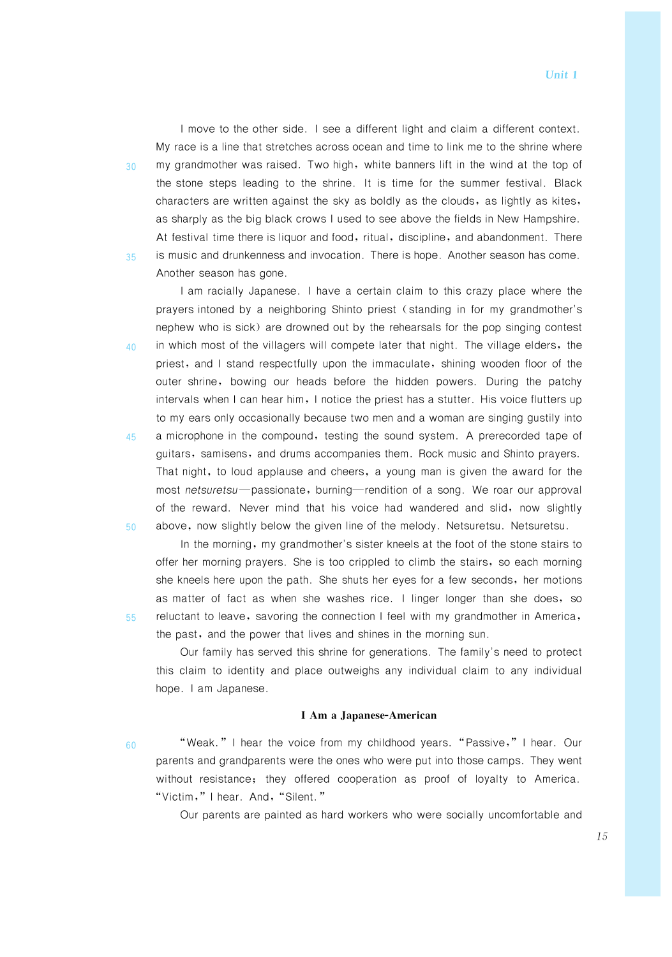I move to the other side. I see a different light and claim a different context. My race is a line that stretches across ocean and time to link me to the shrine where my grandmother was raised. Two high, white banners lift in the wind at the top of the stone steps leading to the shrine. It is time for the summer festival. Black characters are written against the sky as boldly as the clouds, as lightly as kites, as sharply as the big black crows I used to see above the fields in New Hampshire. At festival time there is liquor and food, ritual, discipline, and abandonment. There is music and drunkenness and invocation. There is hope. Another season has come.

35

Another season has gone.

40

30

I am racially Japanese. I have a certain claim to this crazy place where the prayers intoned by a neighboring Shinto priest (standing in for my grandmother's nephew who is sick) are drowned out by the rehearsals for the pop singing contest in which most of the villagers will compete later that night. The village elders, the priest, and I stand respectfully upon the immaculate, shining wooden floor of the outer shrine, bowing our heads before the hidden powers. During the patchy intervals when I can hear him, I notice the priest has a stutter. His voice flutters up to my ears only occasionally because two men and a woman are singing qustily into a microphone in the compound, testing the sound system. A prerecorded tape of

50

55

45

guitars, samisens, and drums accompanies them. Rock music and Shinto prayers. That night, to loud applause and cheers, a young man is given the award for the most netsuretsu—passionate, burning—rendition of a song. We roar our approval of the reward. Never mind that his voice had wandered and slid, now slightly above, now slightly below the given line of the melody. Netsuretsu. Netsuretsu.

In the morning, my grandmother's sister kneels at the foot of the stone stairs to offer her morning prayers. She is too crippled to climb the stairs, so each morning she kneels here upon the path. She shuts her eyes for a few seconds, her motions as matter of fact as when she washes rice. I linger longer than she does, so reluctant to leave, savoring the connection I feel with my grandmother in America, the past, and the power that lives and shines in the morning sun.

Our family has served this shrine for generations. The family's need to protect this claim to identity and place outweighs any individual claim to any individual hope. I am Japanese.

### IAmaJapanese-American

60 "Weak." I hear the voice from my childhood years. "Passive," I hear. Our parents and grandparents were the ones who were put into those camps. They went without resistance; they offered cooperation as proof of loyalty to America. "Victim," I hear. And, "Silent."

Our parents are painted as hard workers who were socially uncomfortable and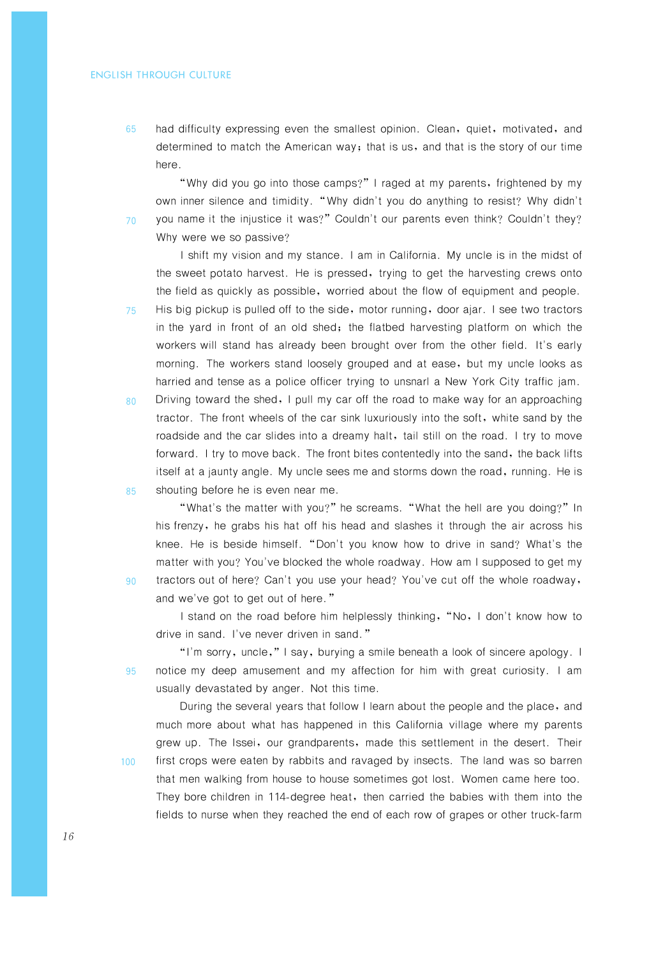#### ENGLISH THROUGH CULTURE

65 had difficulty expressing even the smallest opinion. Clean, quiet, motivated, and determined to match the American way; that is us, and that is the story of our time here.

"Why did you go into those camps?" I raged at my parents, frightened by my own inner silence and timidity. "Why didn't you do anything to resist? Why didn't you name it the injustice it was?" Couldn't our parents even think? Couldn't they? Why were we so passive?

I shift my vision and my stance. I am in California. My uncle is in the midst of the sweet potato harvest. He is pressed, trying to get the harvesting crews onto the field as quickly as possible, worried about the flow of equipment and people.

75

70

His big pickup is pulled off to the side, motor running, door ajar. I see two tractors in the yard in front of an old shed; the flatbed harvesting platform on which the workers will stand has already been brought over from the other field. It's early morning. The workers stand loosely grouped and at ease, but my uncle looks as harried and tense as a police officer trying to unsnarl a New York City traffic jam.

80 85 Driving toward the shed, I pull my car off the road to make way for an approaching tractor. The front wheels of the car sink luxuriously into the soft, white sand by the roadside and the car slides into a dreamy halt, tail still on the road. I try to move forward. I try to move back. The front bites contentedly into the sand, the back lifts itself at a jaunty angle. My uncle sees me and storms down the road, running. He is shouting before he is even near me.

"What's the matter with you?" he screams. "What the hell are you doing?" In his frenzy, he grabs his hat off his head and slashes it through the air across his knee. He is beside himself. "Don't you know how to drive in sand? What's the matter with you? You've blocked the whole roadway. How am I supposed to get my tractors out of here? Can't you use your head? You've cut off the whole roadway, and we've got to get out of here."

I stand on the road before him helplessly thinking, "No, I don't know how to drive in sand. I've never driven in sand."

"I'm sorry, uncle," I say, burying a smile beneath a look of sincere apology. I notice my deep amusement and my affection for him with great curiosity. I am usually devastated by anger. Not this time.

During the several years that follow I learn about the people and the place, and much more about what has happened in this California village where my parents grew up. The Issei, our grandparents, made this settlement in the desert. Their first crops were eaten by rabbits and ravaged by insects. The land was so barren that men walking from house to house sometimes got lost. Women came here too. They bore children in 114-degree heat, then carried the babies with them into the fields to nurse when they reached the end of each row of grapes or other truck-farm

100

90

95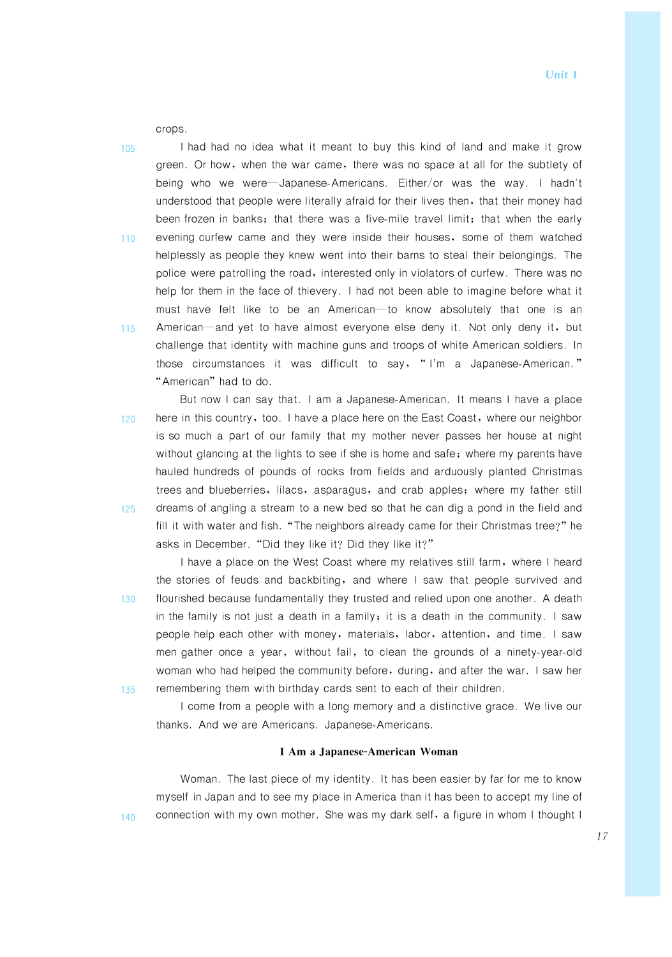crops.

105

130

135

140

110 115 I had had no idea what it meant to buy this kind of land and make it grow green. Or how, when the war came, there was no space at all for the subtlety of being who we were—Japanese-Americans. Either/or was the way. I hadn't understood that people were literally afraid for their lives then, that their money had been frozen in banks; that there was a five-mile travel limit; that when the early evening curfew came and they were inside their houses, some of them watched helplessly as people they knew went into their barns to steal their belongings. The police were patrolling the road, interested only in violators of curfew. There was no help for them in the face of thievery. I had not been able to imagine before what it must have felt like to be an American—to know absolutely that one is an American—and yet to have almost everyone else deny it. Not only deny it, but challenge that identity with machine guns and troops of white American soldiers. In those circumstances it was difficult to say, "I'm a Japanese-American." "American" had to do.

120 125 But now I can say that. I am a Japanese-American. It means I have a place here in this country, too. I have a place here on the East Coast, where our neighbor is so much a part of our family that my mother never passes her house at night without glancing at the lights to see if she is home and safe; where my parents have hauled hundreds of pounds of rocks from fields and arduously planted Christmas trees and blueberries, lilacs, asparagus, and crab apples; where my father still dreams of angling a stream to a new bed so that he can dig a pond in the field and fill it with water and fish. "The neighbors already came for their Christmas tree?" he asks in December. "Did they like it? Did they like it?"

I have a place on the West Coast where my relatives still farm, where I heard the stories of feuds and backbiting, and where I saw that people survived and flourished because fundamentally they trusted and relied upon one another. A death in the family is not just a death in a family; it is a death in the community. I saw people help each other with money, materials, labor, attention, and time. I saw men gather once a year, without fail, to clean the grounds of a ninety-year-old woman who had helped the community before, during, and after the war. I saw her remembering them with birthday cards sent to each of their children.

I come from a people with a long memory and a distinctive grace. We live our thanks. And we are Americans. Japanese-Americans.

#### IAmaJapanese-AmericanWoman

Woman. The last piece of my identity. It has been easier by far for me to know myself in Japan and to see my place in America than it has been to accept my line of connection with my own mother. She was my dark self, a figure in whom I thought I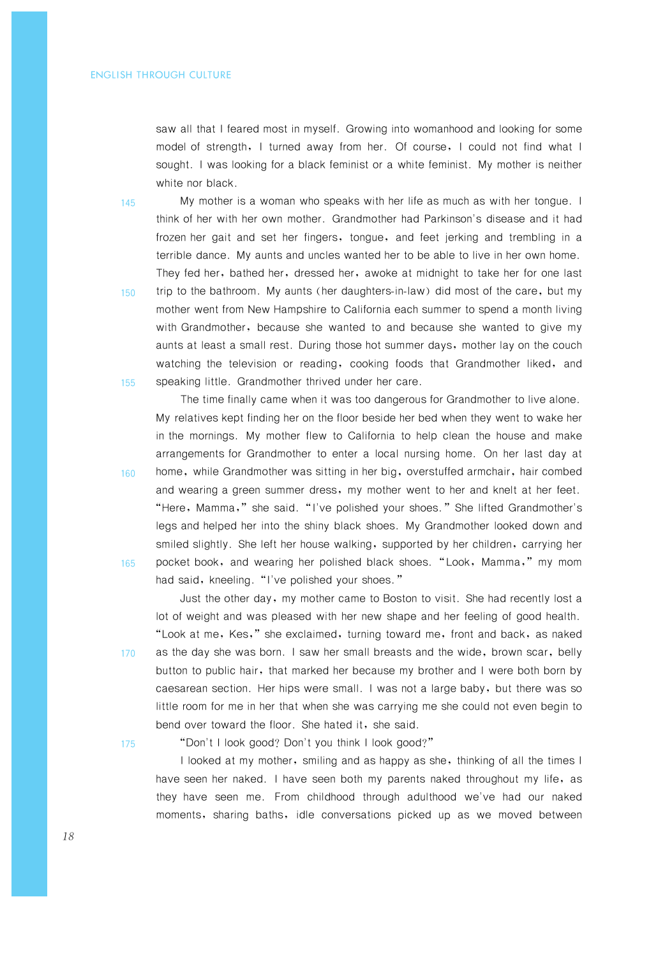saw all that I feared most in myself. Growing into womanhood and looking for some model of strength, I turned away from her. Of course, I could not find what I sought. I was looking for a black feminist or a white feminist. My mother is neither white nor black.

145

My mother is a woman who speaks with her life as much as with her tongue. I think of her with her own mother. Grandmother had Parkinson's disease and it had frozen her gait and set her fingers, tongue, and feet jerking and trembling in a terrible dance. My aunts and uncles wanted her to be able to live in her own home. They fed her, bathed her, dressed her, awoke at midnight to take her for one last

150

trip to the bathroom. My aunts (her daughters-in-law) did most of the care, but my mother went from New Hampshire to California each summer to spend a month living with Grandmother, because she wanted to and because she wanted to give my aunts at least a small rest. During those hot summer days, mother lay on the couch watching the television or reading, cooking foods that Grandmother liked, and speaking little. Grandmother thrived under her care.

The time finally came when it was too dangerous for Grandmother to live alone. My relatives kept finding her on the floor beside her bed when they went to wake her in the mornings. My mother flew to California to help clean the house and make arrangements for Grandmother to enter a local nursing home. On her last day at

160

165

155

home, while Grandmother was sitting in her big, overstuffed armchair, hair combed and wearing a green summer dress, my mother went to her and knelt at her feet. "Here, Mamma," she said. "I've polished your shoes." She lifted Grandmother's legs and helped her into the shiny black shoes. My Grandmother looked down and smiled slightly. She left her house walking, supported by her children, carrying her pocket book, and wearing her polished black shoes. "Look, Mamma," my mom had said, kneeling. "I've polished your shoes."

Just the other day, my mother came to Boston to visit. She had recently lost a lot of weight and was pleased with her new shape and her feeling of good health. "Look at me, Kes," she exclaimed, turning toward me, front and back, as naked

170

as the day she was born. I saw her small breasts and the wide, brown scar, belly button to public hair, that marked her because my brother and I were both born by caesarean section. Her hips were small. I was not a large baby, but there was so little room for me in her that when she was carrying me she could not even begin to bend over toward the floor. She hated it, she said.

175

"Don't I look good? Don't you think I look good?"

I looked at my mother, smiling and as happy as she, thinking of all the times I have seen her naked. I have seen both my parents naked throughout my life, as they have seen me. From childhood through adulthood we've had our naked moments, sharing baths, idle conversations picked up as we moved between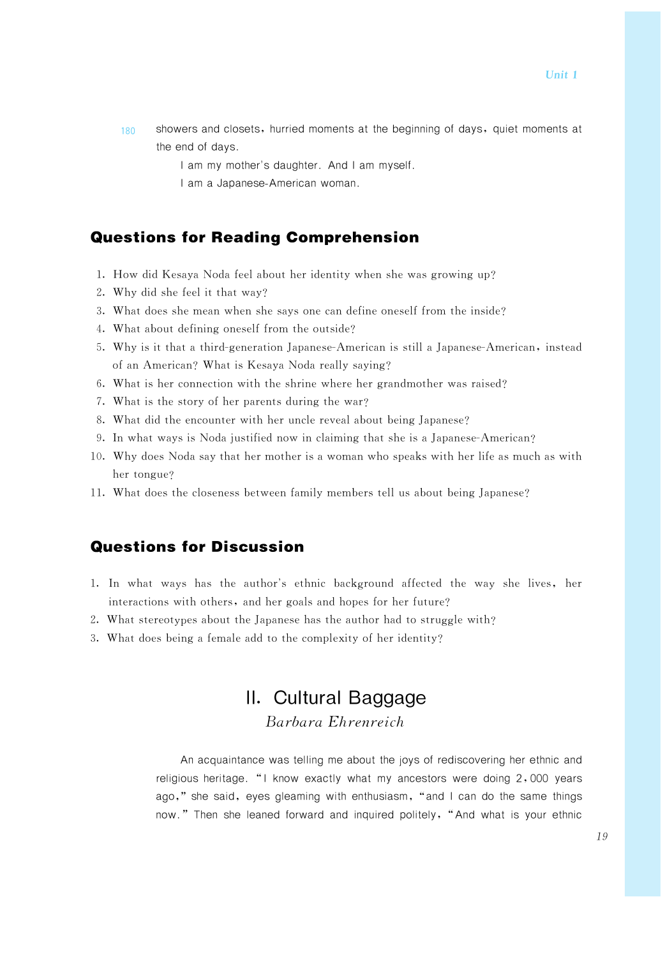Unit 1

180 showers and closets, hurried moments at the beginning of days, quiet moments at the end of days.

I am my mother's daughter. And I am myself.

I am a Japanese-American woman.

# **Questions for Reading Comprehension**

- 1. How did Kesaya Noda feel about her identity when she was growing up?
- 2. Why did she feel it that way?
- 3. What does she mean when she says one can define oneself from the inside?
- 4. What about defining oneself from the outside?
- 5. Why is it that a third-generation Japanese-American is still a Japanese-American, instead of an American? What is Kesaya Noda really saying?
- 6. What is her connection with the shrine where her grandmother was raised?
- 7. What is the story of her parents during the war?
- 8. What did the encounter with her uncle reveal about being Japanese?
- 9. In what ways is Noda justified now in claiming that she is a Japanese-American?
- 10. Why does Noda say that her mother is a woman who speaks with her life as much as with her tongue?
- 11. What does the closeness between family members tell us about being Japanese?

# **Questions for Discussion**

- 1. In what ways has the author's ethnic background affected the way she lives, her interactions with others, and her goals and hopes for her future?
- 2. What stereotypes about the Japanese has the author had to struggle with?
- 3. What does being a female add to the complexity of her identity?

# II. Cultural Baggage

BarbaraEhrenreich

An acquaintance was telling me about the joys of rediscovering her ethnic and religious heritage. "I know exactly what my ancestors were doing 2,000 years ago," she said, eyes gleaming with enthusiasm, "and I can do the same things now." Then she leaned forward and inquired politely, "And what is your ethnic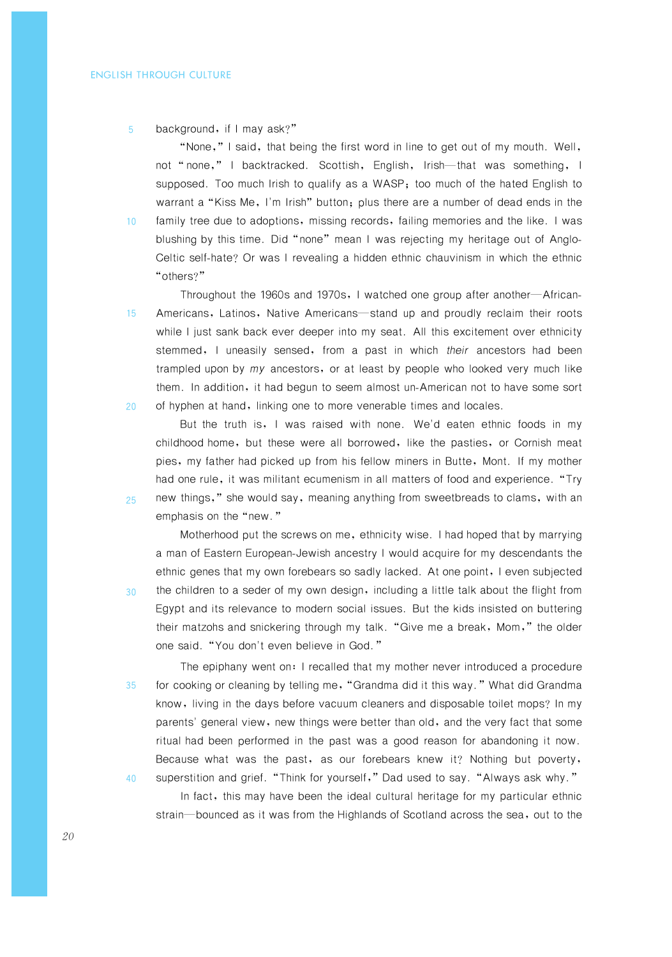#### **ENGLISH THROUGH CULTURE**

#### $\overline{5}$ background, if I may ask?"

"None," I said, that being the first word in line to get out of my mouth. Well, not "none," I backtracked. Scottish, English, Irish—that was something, I supposed. Too much Irish to qualify as a WASP; too much of the hated English to warrant a "Kiss Me, I'm Irish" button, plus there are a number of dead ends in the family tree due to adoptions, missing records, failing memories and the like. I was  $10<sup>1</sup>$ blushing by this time. Did "none" mean I was rejecting my heritage out of Anglo-Celtic self-hate? Or was I revealing a hidden ethnic chauvinism in which the ethnic "others?"

Throughout the 1960s and 1970s, I watched one group after another-African-15 Americans, Latinos, Native Americans—stand up and proudly reclaim their roots while I just sank back ever deeper into my seat. All this excitement over ethnicity stemmed, I uneasily sensed, from a past in which their ancestors had been trampled upon by my ancestors, or at least by people who looked very much like them. In addition, it had begun to seem almost un-American not to have some sort of hyphen at hand, linking one to more venerable times and locales. 20

But the truth is, I was raised with none. We'd eaten ethnic foods in my childhood home, but these were all borrowed, like the pasties, or Cornish meat pies, my father had picked up from his fellow miners in Butte, Mont. If my mother had one rule, it was militant ecumenism in all matters of food and experience. "Try new things," she would say, meaning anything from sweetbreads to clams, with an emphasis on the "new."

Motherhood put the screws on me, ethnicity wise. I had hoped that by marrying a man of Eastern European-Jewish ancestry I would acquire for my descendants the ethnic genes that my own forebears so sadly lacked. At one point, I even subjected the children to a seder of my own design, including a little talk about the flight from Egypt and its relevance to modern social issues. But the kids insisted on buttering their matzohs and snickering through my talk. "Give me a break, Mom," the older one said. "You don't even believe in God."

The epiphany went on: I recalled that my mother never introduced a procedure 35 for cooking or cleaning by telling me, "Grandma did it this way." What did Grandma know, living in the days before vacuum cleaners and disposable toilet mops? In my parents' general view, new things were better than old, and the very fact that some ritual had been performed in the past was a good reason for abandoning it now. Because what was the past, as our forebears knew it? Nothing but poverty, superstition and grief. "Think for yourself," Dad used to say. "Always ask why." 40

In fact, this may have been the ideal cultural heritage for my particular ethnic strain-bounced as it was from the Highlands of Scotland across the sea, out to the

25

 $30<sub>o</sub>$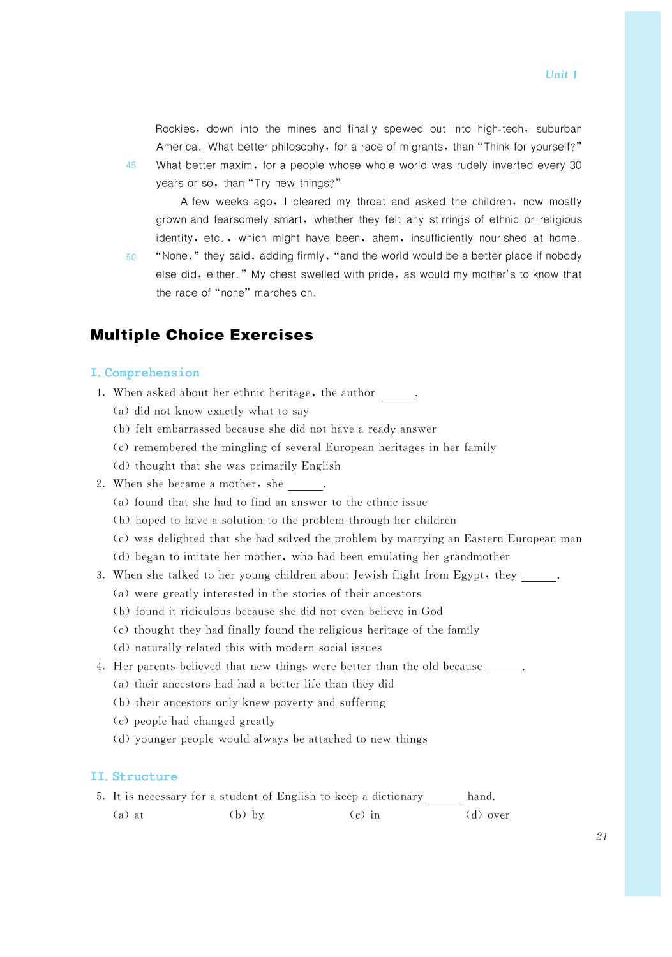Rockies, down into the mines and finally spewed out into high-tech, suburban America. What better philosophy, for a race of migrants, than "Think for yourself?"

45

What better maxim, for a people whose whole world was rudely inverted every 30 years or so, than "Try new things?"

A few weeks ago, I cleared my throat and asked the children, now mostly grown and fearsomely smart, whether they felt any stirrings of ethnic or religious identity, etc., which might have been, ahem, insufficiently nourished at home.

50 "None," they said, adding firmly, "and the world would be a better place if nobody else did, either." My chest swelled with pride, as would my mother's to know that the race of "none" marches on.

# **Multiple Choice Exercises**

### I.Comprehension

- 1. When asked about her ethnic heritage, the author .
	- (a) did not know exactly what to say
	- (b) felt embarrassed because she did not have a ready answer
	- (c) remembered the mingling of several European heritages in her family
	- $(d)$  thought that she was primarily English
- 2. When she became a mother, she  $\cdot$ 
	- (a) found that she had to find an answer to the ethnic issue
	- (b) hoped to have a solution to the problem through her children
	- (c) was delighted that she had solved the problem by marrying an Eastern European man
	- (d) began to imitate her mother, who had been emulating her grandmother
- 3. When she talked to her young children about Jewish flight from Egypt, they
	- (a) were greatly interested in the stories of their ancestors
	- (b) found it ridiculous because she did not even believe in God
	- (c) thought they had finally found the religious heritage of the family
	- (d) naturally related this with modern social issues

4. Her parents believed that new things were better than the old because .

- (a) their ancestors had had a better life than they did
- (b) their ancestors only knew poverty and suffering
- (c) people had changed greatly
- (d) younger people would always be attached to new things

# II. Structure

5. It is necessary for a student of English to keep a dictionary \_\_\_\_\_\_ hand. (a) at (b) by (c) in (d) over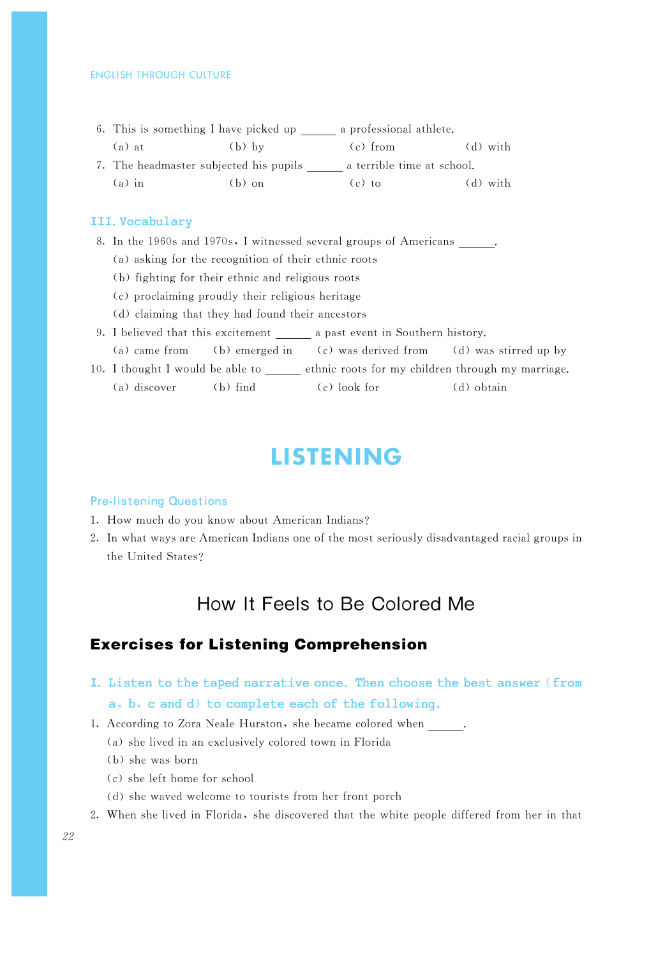#### ENGLISH THROUGH CULTURE

- 6. This is something I have picked up \_\_\_\_\_\_ a professional athlete.
- (a) at (b) by (c) from (d) with
- 7. The headmaster subjected his pupils \_\_\_\_\_\_ a terrible time at school. (a) in (b) on (c) to (d) with

### III. Vocabulary

- 8. In the 1960s and 1970s, I witnessed several groups of Americans .
	- (a) asking for the recognition of their ethnic roots
	- (b) fighting for their ethnic and religious roots
	- $(c)$  proclaiming proudly their religious heritage
	- (d) claiming that they had found their ancestors
- 9. I believed that this excitement a past event in Southern history.
	- (a) came from (b) emerged in (c) was derived from (d) was stirred up by
- 10. I thought I would be able to \_\_\_\_\_\_ ethnic roots for my children through my marriage.
	- (a) discover (b) find (c) look for (d) obtain

# LISTENING

#### Pre-listening Questions

- 1. How much do you know about American Indians?
- 2. In what ways are American Indians one of the most seriously disadvantaged racial groups in the United States?

# How It Feels to Be Colored Me

# **Exercises for Listening Comprehension**

- I. Listen to the taped narrative once. Then choose the best answer (from  $a, b, c$  and  $d)$  to complete each of the following.
- 1. According to Zora Neale Hurston, she became colored when \_\_\_\_\_\_.
	- (a) she lived in an exclusively colored town in Florida
	- (b) she was born
	- (c) she left home for school
	- (d) she waved welcome to tourists from her front porch
- 2. When she lived in Florida, she discovered that the white people differed from her in that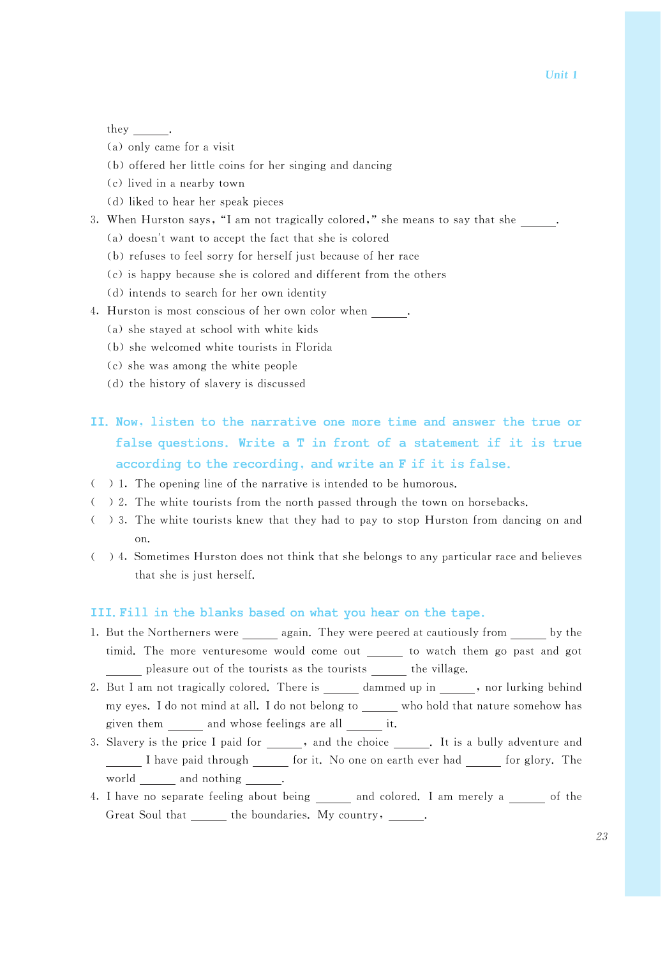Unit 1

they .

- (a) only came for a visit
- (b) offered her little coins for her singing and dancing
- (c) lived in a nearby town
- (d) liked to hear her speak pieces
- 3. When Hurston says, "I am not tragically colored," she means to say that she \_\_\_\_\_.
	- (a) doesn't want to accept the fact that she is colored
	- (b) refuses to feel sorry for herself just because of her race
	- (c) is happy because she is colored and different from the others
	- (d) intends to search for her own identity
- 4. Hurston is most conscious of her own color when .
	- (a) she stayed at school with white kids
	- (b) she welcomed white tourists in Florida
	- (c) she was among the white people
	- (d) the history of slavery is discussed
- II. Now, listen to the narrative one more time and answer the true or false questions. Write a T in front of a statement if it is true according to the recording, and write an F if it is false.
- $($ ) 1. The opening line of the narrative is intended to be humorous.
- $($   $)$  2. The white tourists from the north passed through the town on horsebacks.
- ( ) 3. The white tourists knew that they had to pay to stop Hurston from dancing on and on.
- $($   $)$  4. Sometimes Hurston does not think that she belongs to any particular race and believes that she is just herself.

### III. Fill in the blanks based on what you hear on the tape.

- 1. But the Northerners were \_\_\_\_\_\_ again. They were peered at cautiously from \_\_\_\_\_\_ by the timid. The more venturesome would come out \_\_\_\_\_\_ to watch them go past and got pleasure out of the tourists as the tourists \_\_\_\_\_\_ the village.
- 2. But I am not tragically colored. There is \_\_\_\_\_\_ dammed up in \_\_\_\_\_, nor lurking behind my eyes. I do not mind at all. I do not belong to \_\_\_\_\_ who hold that nature somehow has given them \_\_\_\_\_\_ and whose feelings are all \_\_\_\_\_\_\_ it.
- 3. Slavery is the price I paid for , and the choice . It is a bully adventure and I have paid through <u>for it</u>. No one on earth ever had some for glory. The world \_\_\_\_\_\_ and nothing \_\_\_\_\_\_.
- 4. I have no separate feeling about being \_\_\_\_\_\_ and colored. I am merely a \_\_\_\_\_\_ of the Great Soul that \_\_\_\_\_\_ the boundaries. My country, \_\_\_\_\_.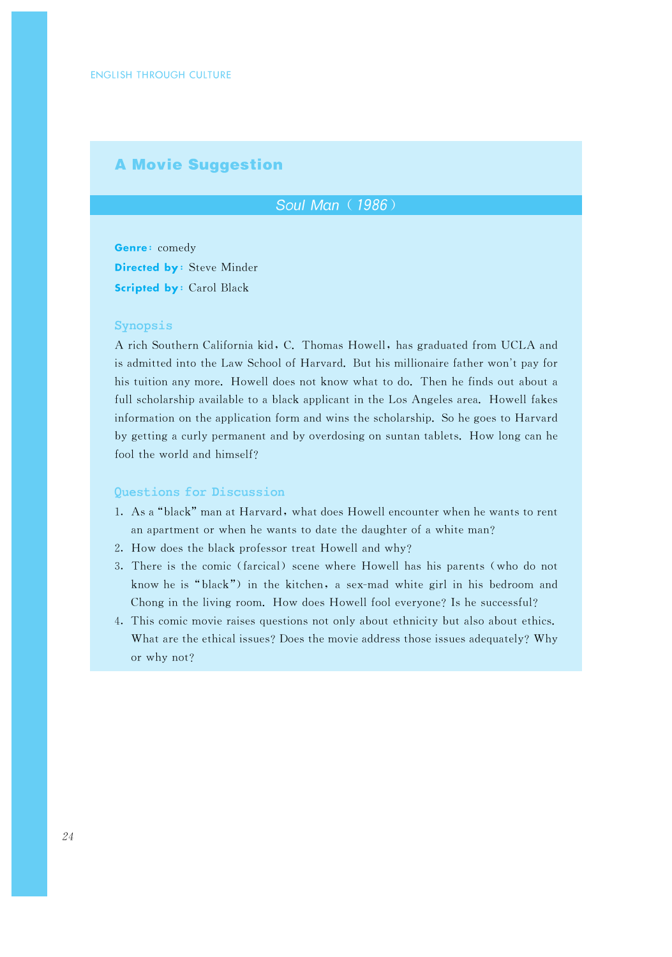# **A Movie Suggestion**

# Soul Man (1986)

Genre: comedy Directed by: Steve Minder Scripted by: Carol Black

## Synopsis

A rich Southern California kid, C. Thomas Howell, has graduated from UCLA and is admitted into the Law School of Harvard. But his millionaire father won't pay for his tuition any more. Howell does not know what to do. Then he finds out about a full scholarship available to a black applicant in the Los Angeles area. Howell fakes information on the application form and wins the scholarship. So he goes to Harvard by getting a curly permanent and by overdosing on suntan tablets. How long can he fool the world and himself?

## Questions for Discussion

- 1. As a "black" man at Harvard, what does Howell encounter when he wants to rent an apartment or when he wants to date the daughter of a white man?
- 2. How does the black professor treat Howell and why?
- 3. There is the comic (farcical) scene where Howell has his parents (who do not know he is "black") in the kitchen, a sex-mad white girl in his bedroom and Chong in the living room. How does Howell fool everyone? Is he successful?
- 4. This comic movie raises questions not only about ethnicity but also about ethics. What are the ethical issues? Does the movie address those issues adequately? Why or why not?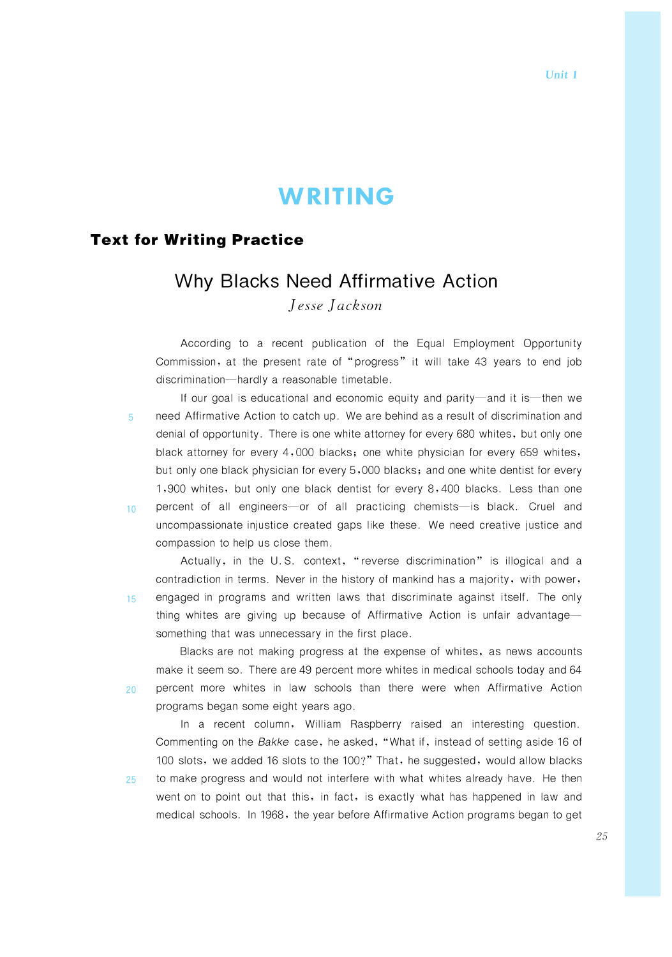# **WRITING**

# **Text for Writing Practice**

25

# Why Blacks Need Affirmative Action *Lesse Lackson*

According to a recent publication of the Equal Employment Opportunity Commission, at the present rate of "progress" it will take 43 years to end job discrimination-hardly a reasonable timetable.

If our goal is educational and economic equity and parity—and it is—then we need Affirmative Action to catch up. We are behind as a result of discrimination and  $\overline{5}$ denial of opportunity. There is one white attorney for every 680 whites, but only one black attorney for every 4,000 blacks; one white physician for every 659 whites, but only one black physician for every 5,000 blacks; and one white dentist for every 1,900 whites, but only one black dentist for every 8,400 blacks. Less than one percent of all engineers—or of all practicing chemists—is black. Cruel and  $10$ uncompassionate injustice created gaps like these. We need creative justice and compassion to help us close them.

Actually, in the U.S. context, "reverse discrimination" is illogical and a contradiction in terms. Never in the history of mankind has a majority, with power, engaged in programs and written laws that discriminate against itself. The only 15 thing whites are giving up because of Affirmative Action is unfair advantagesomething that was unnecessary in the first place.

Blacks are not making progress at the expense of whites, as news accounts make it seem so. There are 49 percent more whites in medical schools today and 64 percent more whites in law schools than there were when Affirmative Action 20 programs began some eight years ago.

In a recent column, William Raspberry raised an interesting question. Commenting on the Bakke case, he asked, "What if, instead of setting aside 16 of 100 slots, we added 16 slots to the 100?" That, he suggested, would allow blacks to make progress and would not interfere with what whites already have. He then went on to point out that this, in fact, is exactly what has happened in law and medical schools. In 1968, the year before Affirmative Action programs began to get